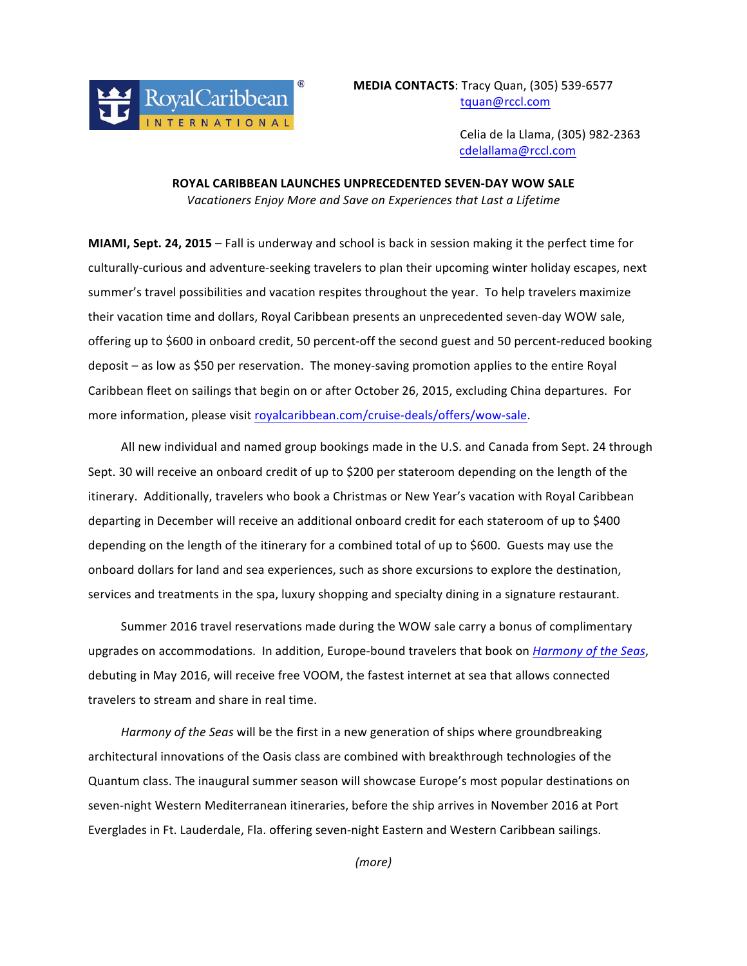

**MEDIA CONTACTS:** Tracy Quan, (305) 539-6577 tquan@rccl.com

> Celia de la Llama, (305) 982-2363 cdelallama@rccl.com

**ROYAL CARIBBEAN LAUNCHES UNPRECEDENTED SEVEN-DAY WOW SALE** Vacationers Enjoy More and Save on Experiences that Last a Lifetime

**MIAMI, Sept. 24, 2015** – Fall is underway and school is back in session making it the perfect time for culturally-curious and adventure-seeking travelers to plan their upcoming winter holiday escapes, next summer's travel possibilities and vacation respites throughout the year. To help travelers maximize their vacation time and dollars, Royal Caribbean presents an unprecedented seven-day WOW sale, offering up to \$600 in onboard credit, 50 percent-off the second guest and 50 percent-reduced booking deposit – as low as \$50 per reservation. The money-saving promotion applies to the entire Royal Caribbean fleet on sailings that begin on or after October 26, 2015, excluding China departures. For more information, please visit royalcaribbean.com/cruise-deals/offers/wow-sale.

All new individual and named group bookings made in the U.S. and Canada from Sept. 24 through Sept. 30 will receive an onboard credit of up to \$200 per stateroom depending on the length of the itinerary. Additionally, travelers who book a Christmas or New Year's vacation with Royal Caribbean departing in December will receive an additional onboard credit for each stateroom of up to \$400 depending on the length of the itinerary for a combined total of up to \$600. Guests may use the onboard dollars for land and sea experiences, such as shore excursions to explore the destination, services and treatments in the spa, luxury shopping and specialty dining in a signature restaurant.

Summer 2016 travel reservations made during the WOW sale carry a bonus of complimentary upgrades on accommodations. In addition, Europe-bound travelers that book on *Harmony of the Seas*, debuting in May 2016, will receive free VOOM, the fastest internet at sea that allows connected travelers to stream and share in real time.

*Harmony of the Seas* will be the first in a new generation of ships where groundbreaking architectural innovations of the Oasis class are combined with breakthrough technologies of the Quantum class. The inaugural summer season will showcase Europe's most popular destinations on seven-night Western Mediterranean itineraries, before the ship arrives in November 2016 at Port Everglades in Ft. Lauderdale, Fla. offering seven-night Eastern and Western Caribbean sailings.

*(more)*